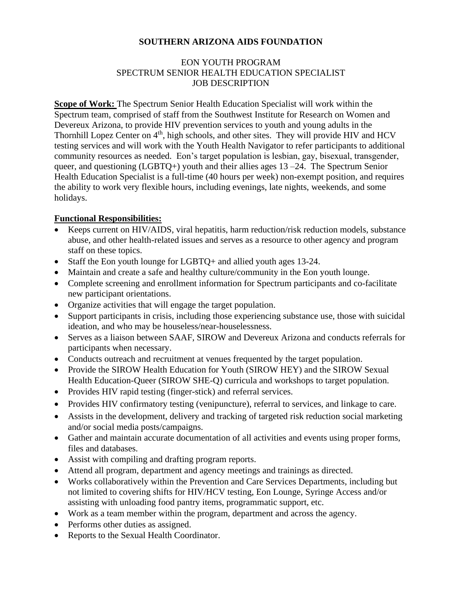## **SOUTHERN ARIZONA AIDS FOUNDATION**

## EON YOUTH PROGRAM SPECTRUM SENIOR HEALTH EDUCATION SPECIALIST JOB DESCRIPTION

**Scope of Work:** The Spectrum Senior Health Education Specialist will work within the Spectrum team, comprised of staff from the Southwest Institute for Research on Women and Devereux Arizona, to provide HIV prevention services to youth and young adults in the Thornhill Lopez Center on 4<sup>th</sup>, high schools, and other sites. They will provide HIV and HCV testing services and will work with the Youth Health Navigator to refer participants to additional community resources as needed. Eon's target population is lesbian, gay, bisexual, transgender, queer, and questioning (LGBTQ+) youth and their allies ages  $13 - 24$ . The Spectrum Senior Health Education Specialist is a full-time (40 hours per week) non-exempt position, and requires the ability to work very flexible hours, including evenings, late nights, weekends, and some holidays.

## **Functional Responsibilities:**

- Keeps current on HIV/AIDS, viral hepatitis, harm reduction/risk reduction models, substance abuse, and other health-related issues and serves as a resource to other agency and program staff on these topics.
- Staff the Eon youth lounge for LGBTQ+ and allied youth ages 13-24.
- Maintain and create a safe and healthy culture/community in the Eon youth lounge.
- Complete screening and enrollment information for Spectrum participants and co-facilitate new participant orientations.
- Organize activities that will engage the target population.
- Support participants in crisis, including those experiencing substance use, those with suicidal ideation, and who may be houseless/near-houselessness.
- Serves as a liaison between SAAF, SIROW and Devereux Arizona and conducts referrals for participants when necessary.
- Conducts outreach and recruitment at venues frequented by the target population.
- Provide the SIROW Health Education for Youth (SIROW HEY) and the SIROW Sexual Health Education-Queer (SIROW SHE-Q) curricula and workshops to target population.
- Provides HIV rapid testing (finger-stick) and referral services.
- Provides HIV confirmatory testing (venipuncture), referral to services, and linkage to care.
- Assists in the development, delivery and tracking of targeted risk reduction social marketing and/or social media posts/campaigns.
- Gather and maintain accurate documentation of all activities and events using proper forms, files and databases.
- Assist with compiling and drafting program reports.
- Attend all program, department and agency meetings and trainings as directed.
- Works collaboratively within the Prevention and Care Services Departments, including but not limited to covering shifts for HIV/HCV testing, Eon Lounge, Syringe Access and/or assisting with unloading food pantry items, programmatic support, etc.
- Work as a team member within the program, department and across the agency.
- Performs other duties as assigned.
- Reports to the Sexual Health Coordinator.